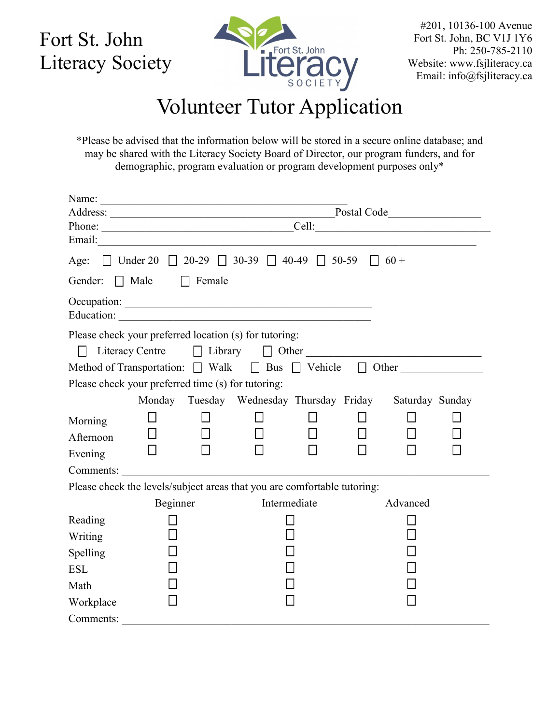Fort St. John Literacy Society



#201, 10136-100 Avenue Fort St. John, BC V1J 1Y6 Ph: 250-785-2110 Website: www.fsjliteracy.ca Email: info@fsjliteracy.ca

## Volunteer Tutor Application

\*Please be advised that the information below will be stored in a secure online database; and may be shared with the Literacy Society Board of Director, our program funders, and for demographic, program evaluation or program development purposes only\*

|                                                                                      | Postal Code     |               |                                                                                                                       |              |  |          |  |
|--------------------------------------------------------------------------------------|-----------------|---------------|-----------------------------------------------------------------------------------------------------------------------|--------------|--|----------|--|
|                                                                                      | Phone:          |               |                                                                                                                       |              |  |          |  |
| Email:                                                                               |                 |               | <u> 1986 - Jan Barbara, margaretar amerikan basar dan berasal dalam basa dalam basar dalam basar dalam basar dala</u> |              |  |          |  |
| Age: $\Box$ Under 20 $\Box$ 20-29 $\Box$ 30-39 $\Box$ 40-49 $\Box$ 50-59 $\Box$ 60 + |                 |               |                                                                                                                       |              |  |          |  |
| Gender: Male                                                                         |                 | $\Box$ Female |                                                                                                                       |              |  |          |  |
| Education:                                                                           |                 |               |                                                                                                                       |              |  |          |  |
| Please check your preferred location (s) for tutoring:                               | Literacy Centre |               | $\Box$ Library $\Box$ Other                                                                                           |              |  |          |  |
| Method of Transportation: $\Box$ Walk $\Box$ Bus $\Box$ Vehicle $\Box$ Other         |                 |               |                                                                                                                       |              |  |          |  |
| Please check your preferred time (s) for tutoring:                                   |                 |               |                                                                                                                       |              |  |          |  |
|                                                                                      |                 |               | Monday Tuesday Wednesday Thursday Friday Saturday Sunday                                                              |              |  |          |  |
| Morning<br>Afternoon<br>Evening                                                      |                 |               |                                                                                                                       | $\Box$       |  |          |  |
| Comments:                                                                            |                 |               |                                                                                                                       |              |  |          |  |
| Please check the levels/subject areas that you are comfortable tutoring:             |                 |               | <u> 1980 - Andrea Andrew Maria (h. 1980).</u>                                                                         |              |  |          |  |
|                                                                                      | Beginner        |               |                                                                                                                       | Intermediate |  | Advanced |  |
| Reading                                                                              |                 |               |                                                                                                                       |              |  |          |  |
| Writing                                                                              |                 |               |                                                                                                                       |              |  |          |  |
| Spelling                                                                             |                 |               |                                                                                                                       |              |  |          |  |
| <b>ESL</b>                                                                           |                 |               |                                                                                                                       |              |  |          |  |
| Math                                                                                 |                 |               |                                                                                                                       |              |  |          |  |
| Workplace                                                                            |                 |               |                                                                                                                       |              |  |          |  |
| Comments:                                                                            |                 |               |                                                                                                                       |              |  |          |  |